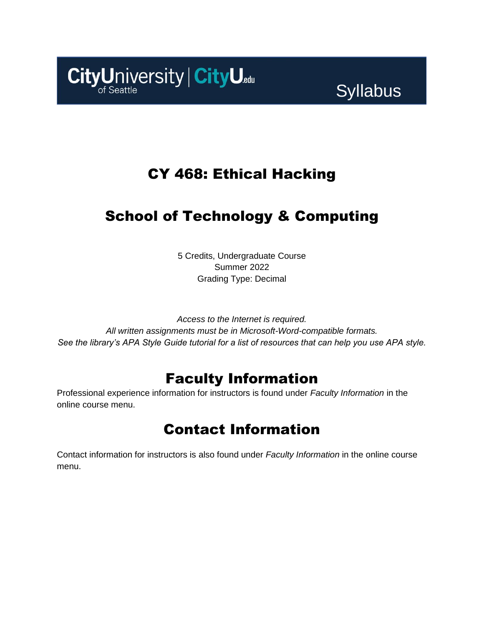

# **Syllabus**

# CY 468: Ethical Hacking

# School of Technology & Computing

5 Credits, Undergraduate Course Summer 2022 Grading Type: Decimal

*Access to the Internet is required. All written assignments must be in Microsoft-Word-compatible formats. See the library's APA Style Guide tutorial for a list of resources that can help you use APA style.*

## Faculty Information

Professional experience information for instructors is found under *Faculty Information* in the online course menu.

## Contact Information

Contact information for instructors is also found under *Faculty Information* in the online course menu.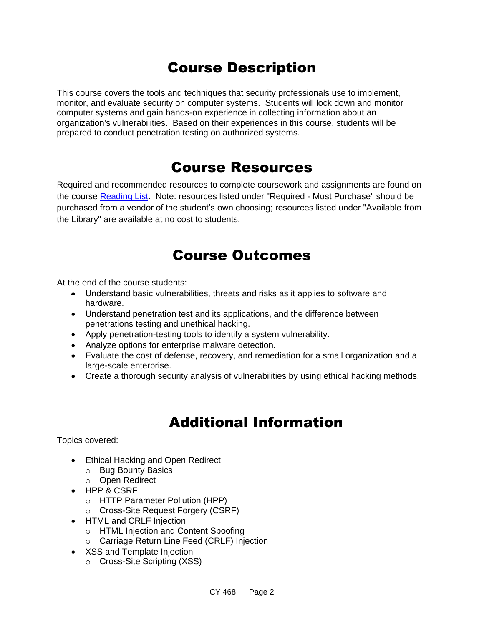# Course Description

This course covers the tools and techniques that security professionals use to implement, monitor, and evaluate security on computer systems. Students will lock down and monitor computer systems and gain hands-on experience in collecting information about an organization's vulnerabilities. Based on their experiences in this course, students will be prepared to conduct penetration testing on authorized systems.

### Course Resources

Required and recommended resources to complete coursework and assignments are found on the course [Reading List.](https://cityu.alma.exlibrisgroup.com/leganto/login?auth=SAML) Note: resources listed under "Required - Must Purchase" should be purchased from a vendor of the student's own choosing; resources listed under "Available from the Library" are available at no cost to students.

### Course Outcomes

At the end of the course students:

- Understand basic vulnerabilities, threats and risks as it applies to software and hardware.
- Understand penetration test and its applications, and the difference between penetrations testing and unethical hacking.
- Apply penetration-testing tools to identify a system vulnerability.
- Analyze options for enterprise malware detection.
- Evaluate the cost of defense, recovery, and remediation for a small organization and a large-scale enterprise.
- Create a thorough security analysis of vulnerabilities by using ethical hacking methods.

## Additional Information

Topics covered:

- Ethical Hacking and Open Redirect
	- o Bug Bounty Basics
	- o Open Redirect
- HPP & CSRF
	- o HTTP Parameter Pollution (HPP)
	- o Cross-Site Request Forgery (CSRF)
- HTML and CRLF Injection
	- o HTML Injection and Content Spoofing
	- o Carriage Return Line Feed (CRLF) Injection
- XSS and Template Injection
	- o Cross-Site Scripting (XSS)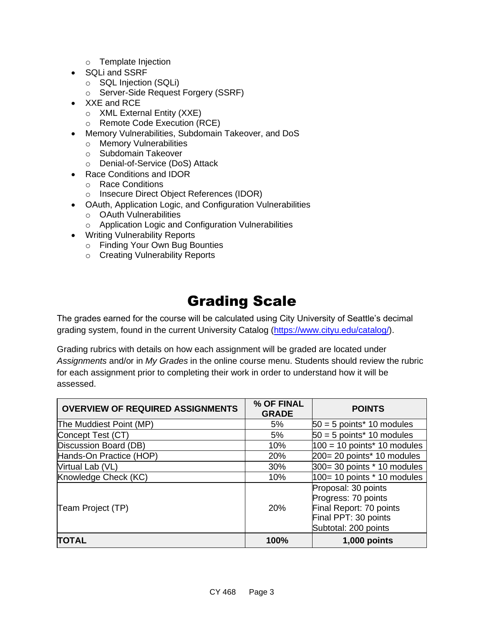- o Template Injection
- SQLi and SSRF
	- o SQL Injection (SQLi)
	- o Server-Side Request Forgery (SSRF)
- XXE and RCE
	- o XML External Entity (XXE)
	- o Remote Code Execution (RCE)
- Memory Vulnerabilities, Subdomain Takeover, and DoS
	- o Memory Vulnerabilities
	- o Subdomain Takeover
	- o Denial-of-Service (DoS) Attack
- Race Conditions and IDOR
	- o Race Conditions
	- o Insecure Direct Object References (IDOR)
- OAuth, Application Logic, and Configuration Vulnerabilities
	- o OAuth Vulnerabilities
	- o Application Logic and Configuration Vulnerabilities
- Writing Vulnerability Reports
	- o Finding Your Own Bug Bounties
	- o Creating Vulnerability Reports

## Grading Scale

The grades earned for the course will be calculated using City University of Seattle's decimal grading system, found in the current University Catalog [\(https://www.cityu.edu/catalog/\)](https://www.cityu.edu/catalog/).

Grading rubrics with details on how each assignment will be graded are located under *Assignments* and/or in *My Grades* in the online course menu. Students should review the rubric for each assignment prior to completing their work in order to understand how it will be assessed.

| <b>OVERVIEW OF REQUIRED ASSIGNMENTS</b> | % OF FINAL<br><b>GRADE</b> | <b>POINTS</b>                                                                                                         |  |
|-----------------------------------------|----------------------------|-----------------------------------------------------------------------------------------------------------------------|--|
| The Muddiest Point (MP)                 | 5%                         | $50 = 5$ points* 10 modules                                                                                           |  |
| Concept Test (CT)                       | 5%                         | $50 = 5$ points* 10 modules                                                                                           |  |
| Discussion Board (DB)                   | 10%                        | $100 = 10$ points* 10 modules                                                                                         |  |
| Hands-On Practice (HOP)                 | 20%                        | 200= 20 points* 10 modules                                                                                            |  |
| Virtual Lab (VL)                        | 30%                        | 300= 30 points * 10 modules                                                                                           |  |
| Knowledge Check (KC)                    | 10%                        | $100 = 10$ points $*$ 10 modules                                                                                      |  |
| Team Project (TP)                       | 20%                        | Proposal: 30 points<br>Progress: 70 points<br>Final Report: 70 points<br>Final PPT: 30 points<br>Subtotal: 200 points |  |
| <b>TOTAL</b>                            | 100%                       | 1,000 points                                                                                                          |  |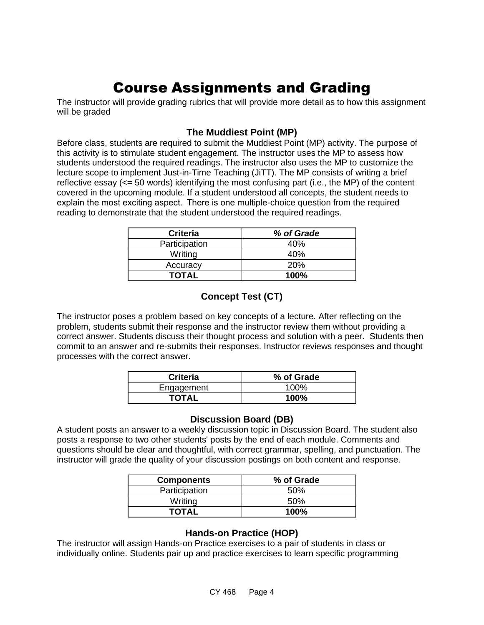# Course Assignments and Grading

The instructor will provide grading rubrics that will provide more detail as to how this assignment will be graded

#### **The Muddiest Point (MP)**

Before class, students are required to submit the Muddiest Point (MP) activity. The purpose of this activity is to stimulate student engagement. The instructor uses the MP to assess how students understood the required readings. The instructor also uses the MP to customize the lecture scope to implement Just-in-Time Teaching (JiTT). The MP consists of writing a brief reflective essay (<= 50 words) identifying the most confusing part (i.e., the MP) of the content covered in the upcoming module. If a student understood all concepts, the student needs to explain the most exciting aspect.  There is one multiple-choice question from the required reading to demonstrate that the student understood the required readings.

| <b>Criteria</b> | % of Grade |
|-----------------|------------|
| Participation   | 40%        |
| Writing         | 40%        |
| Accuracy        | <b>20%</b> |
| <b>TOTAL</b>    | 100%       |

### **Concept Test (CT)**

The instructor poses a problem based on key concepts of a lecture. After reflecting on the problem, students submit their response and the instructor review them without providing a correct answer. Students discuss their thought process and solution with a peer. Students then commit to an answer and re-submits their responses. Instructor reviews responses and thought processes with the correct answer.

| <b>Criteria</b> | % of Grade |
|-----------------|------------|
| Engagement      | 100%       |
| <b>TOTAL</b>    | 100%       |

#### **Discussion Board (DB)**

A student posts an answer to a weekly discussion topic in Discussion Board. The student also posts a response to two other students' posts by the end of each module. Comments and questions should be clear and thoughtful, with correct grammar, spelling, and punctuation. The instructor will grade the quality of your discussion postings on both content and response.

| <b>Components</b> | % of Grade  |
|-------------------|-------------|
| Participation     | 50%         |
| Writing           | 50%         |
| TOTAL             | <b>100%</b> |

#### **Hands-on Practice (HOP)**

The instructor will assign Hands-on Practice exercises to a pair of students in class or individually online. Students pair up and practice exercises to learn specific programming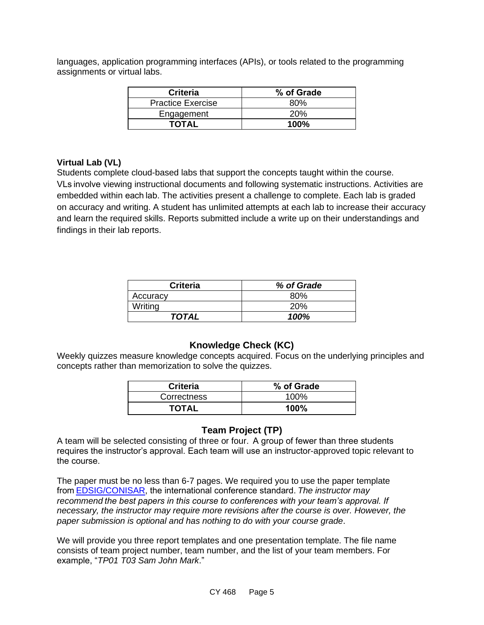languages, application programming interfaces (APIs), or tools related to the programming assignments or virtual labs.

| <b>Criteria</b>          | % of Grade  |
|--------------------------|-------------|
| <b>Practice Exercise</b> | 80%         |
| Engagement               | 20%         |
| TOTAL                    | <b>100%</b> |

#### **Virtual Lab (VL)**

Students complete cloud-based labs that support the concepts taught within the course. VLs involve viewing instructional documents and following systematic instructions. Activities are embedded within each lab. The activities present a challenge to complete. Each lab is graded on accuracy and writing. A student has unlimited attempts at each lab to increase their accuracy and learn the required skills. Reports submitted include a write up on their understandings and findings in their lab reports.

| <b>Criteria</b> | % of Grade |
|-----------------|------------|
| Accuracy        | ጸበ%        |
| Writing         | 20%        |
| <b>TOTAL</b>    | 100%       |

#### **Knowledge Check (KC)**

Weekly quizzes measure knowledge concepts acquired. Focus on the underlying principles and concepts rather than memorization to solve the quizzes.

| <b>Criteria</b> | % of Grade |
|-----------------|------------|
| Correctness     | 100%       |
| <b>TOTAL</b>    | 100%       |

#### **Team Project (TP)**

A team will be selected consisting of three or four.  A group of fewer than three students requires the instructor's approval. Each team will use an instructor-approved topic relevant to the course.  

The paper must be no less than 6-7 pages. We required you to use the paper template fro[m EDSIG/CONISAR,](http://www.aitp-edsig.org/) the international conference standard. *The instructor may recommend the best papers in this course to conferences with your team's approval. If necessary, the instructor may require more revisions after the course is over. However, the paper submission is optional and has nothing to do with your course grade*.  

We will provide you three report templates and one presentation template. The file name consists of team project number, team number, and the list of your team members. For example, "*TP01 T03 Sam John Mark*."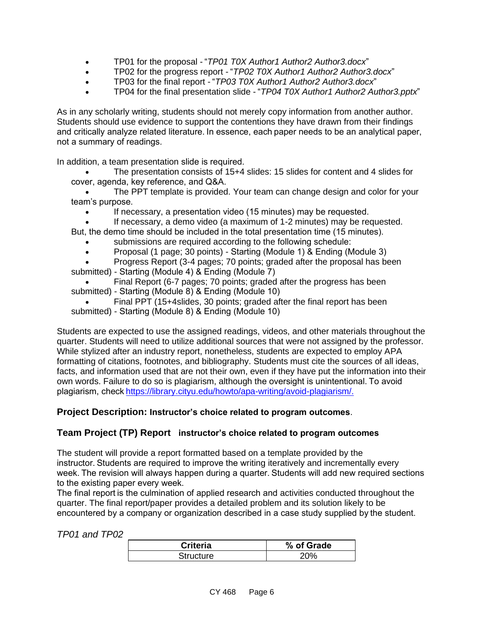- TP01 for the proposal "*TP01 T0X Author1 Author2 Author3.docx*"
- TP02 for the progress report "*TP02 T0X Author1 Author2 Author3.docx*"
- TP03 for the final report "*TP03 T0X Author1 Author2 Author3.docx*"
- TP04 for the final presentation slide "*TP04 T0X Author1 Author2 Author3.pptx*"

As in any scholarly writing, students should not merely copy information from another author. Students should use evidence to support the contentions they have drawn from their findings and critically analyze related literature. In essence, each paper needs to be an analytical paper, not a summary of readings. 

In addition, a team presentation slide is required.  

- The presentation consists of 15+4 slides: 15 slides for content and 4 slides for cover, agenda, key reference, and Q&A.
- The PPT template is provided. Your team can change design and color for your team's purpose.
	- If necessary, a presentation video (15 minutes) may be requested.
	- If necessary, a demo video (a maximum of 1-2 minutes) may be requested.
- But, the demo time should be included in the total presentation time (15 minutes).
	- submissions are required according to the following schedule:
	- Proposal (1 page; 30 points) Starting (Module 1) & Ending (Module 3)
- Progress Report (3-4 pages; 70 points; graded after the proposal has been submitted) - Starting (Module 4) & Ending (Module 7)
- Final Report (6-7 pages; 70 points; graded after the progress has been submitted) - Starting (Module 8) & Ending (Module 10)
- Final PPT (15+4slides, 30 points; graded after the final report has been submitted) - Starting (Module 8) & Ending (Module 10)

Students are expected to use the assigned readings, videos, and other materials throughout the quarter. Students will need to utilize additional sources that were not assigned by the professor. While stylized after an industry report, nonetheless, students are expected to employ APA formatting of citations, footnotes, and bibliography. Students must cite the sources of all ideas, facts, and information used that are not their own, even if they have put the information into their own words. Failure to do so is plagiarism, although the oversight is unintentional. To avoid plagiarism, chec[k https://library.cityu.edu/howto/apa-writing/avoid-plagiarism/.](https://library.cityu.edu/howto/apa-writing/avoid-plagiarism/)

#### **Project Description: Instructor's choice related to program outcomes**.

#### **Team Project (TP) Report instructor's choice related to program outcomes**

The student will provide a report formatted based on a template provided by the instructor. Students are required to improve the writing iteratively and incrementally every week. The revision will always happen during a quarter. Students will add new required sections to the existing paper every week.  

The final report is the culmination of applied research and activities conducted throughout the quarter. The final report/paper provides a detailed problem and its solution likely to be encountered by a company or organization described in a case study supplied by the student.

#### *TP01 and TP02*

| <b>Criteria</b> | % of Grade |
|-----------------|------------|
| Structure       |            |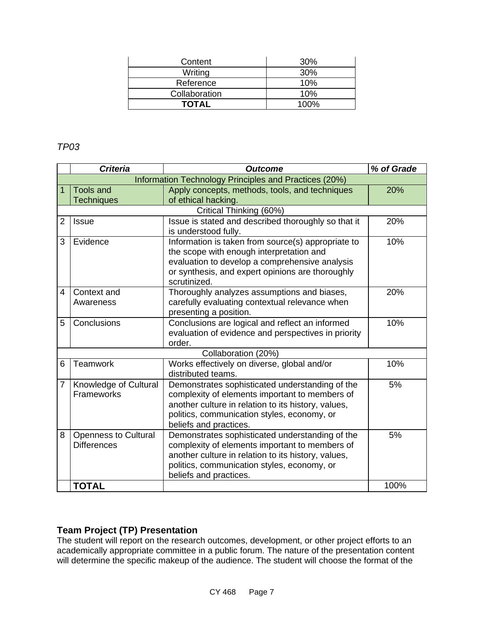| Content       | 30%  |
|---------------|------|
| Writing       | 30%  |
| Reference     | 10%  |
| Collaboration | 10%  |
| <b>TOTAL</b>  | 100% |

#### *TP03*

|                | <b>Criteria</b><br><b>Outcome</b>                     |                                                                                                                                                                                                                                   | % of Grade |
|----------------|-------------------------------------------------------|-----------------------------------------------------------------------------------------------------------------------------------------------------------------------------------------------------------------------------------|------------|
|                | Information Technology Principles and Practices (20%) |                                                                                                                                                                                                                                   |            |
| 1              | <b>Tools and</b>                                      | Apply concepts, methods, tools, and techniques                                                                                                                                                                                    | 20%        |
|                | <b>Techniques</b>                                     | of ethical hacking.                                                                                                                                                                                                               |            |
|                |                                                       | Critical Thinking (60%)                                                                                                                                                                                                           |            |
| 2              | <b>Issue</b>                                          | Issue is stated and described thoroughly so that it<br>is understood fully.                                                                                                                                                       | 20%        |
| 3              | Evidence                                              | Information is taken from source(s) appropriate to<br>the scope with enough interpretation and<br>evaluation to develop a comprehensive analysis<br>or synthesis, and expert opinions are thoroughly<br>scrutinized.              | 10%        |
| 4              | Context and<br>Awareness                              | Thoroughly analyzes assumptions and biases,<br>carefully evaluating contextual relevance when<br>presenting a position.                                                                                                           | 20%        |
| 5              | Conclusions                                           | Conclusions are logical and reflect an informed<br>evaluation of evidence and perspectives in priority<br>order.                                                                                                                  | 10%        |
|                |                                                       | Collaboration (20%)                                                                                                                                                                                                               |            |
| 6              | Teamwork                                              | Works effectively on diverse, global and/or<br>distributed teams.                                                                                                                                                                 | 10%        |
| $\overline{7}$ | Knowledge of Cultural<br>Frameworks                   | Demonstrates sophisticated understanding of the<br>complexity of elements important to members of<br>another culture in relation to its history, values,<br>politics, communication styles, economy, or<br>beliefs and practices. | 5%         |
| 8              | <b>Openness to Cultural</b><br><b>Differences</b>     | Demonstrates sophisticated understanding of the<br>complexity of elements important to members of<br>another culture in relation to its history, values,<br>politics, communication styles, economy, or<br>beliefs and practices. | 5%         |
|                | <b>TOTAL</b>                                          |                                                                                                                                                                                                                                   | 100%       |

#### **Team Project (TP) Presentation**

The student will report on the research outcomes, development, or other project efforts to an academically appropriate committee in a public forum. The nature of the presentation content will determine the specific makeup of the audience. The student will choose the format of the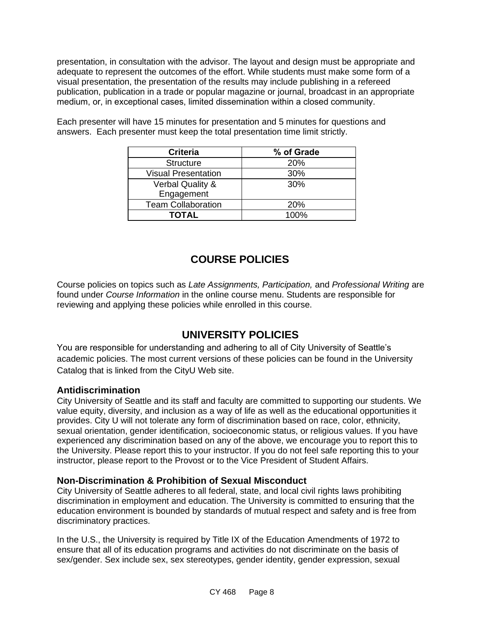presentation, in consultation with the advisor. The layout and design must be appropriate and adequate to represent the outcomes of the effort. While students must make some form of a visual presentation, the presentation of the results may include publishing in a refereed publication, publication in a trade or popular magazine or journal, broadcast in an appropriate medium, or, in exceptional cases, limited dissemination within a closed community. 

| <b>Criteria</b>             | % of Grade |
|-----------------------------|------------|
| <b>Structure</b>            | <b>20%</b> |
| <b>Visual Presentation</b>  | 30%        |
| <b>Verbal Quality &amp;</b> | 30%        |
| Engagement                  |            |
| <b>Team Collaboration</b>   | <b>20%</b> |
| TOTAL                       | $100\%$    |

Each presenter will have 15 minutes for presentation and 5 minutes for questions and answers. Each presenter must keep the total presentation time limit strictly.

### **COURSE POLICIES**

Course policies on topics such as *Late Assignments, Participation,* and *Professional Writing* are found under *Course Information* in the online course menu. Students are responsible for reviewing and applying these policies while enrolled in this course.

### **UNIVERSITY POLICIES**

You are responsible for understanding and adhering to all of City University of Seattle's academic policies. The most current versions of these policies can be found in the University Catalog that is linked from the CityU Web site.

#### **Antidiscrimination**

City University of Seattle and its staff and faculty are committed to supporting our students. We value equity, diversity, and inclusion as a way of life as well as the educational opportunities it provides. City U will not tolerate any form of discrimination based on race, color, ethnicity, sexual orientation, gender identification, socioeconomic status, or religious values. If you have experienced any discrimination based on any of the above, we encourage you to report this to the University. Please report this to your instructor. If you do not feel safe reporting this to your instructor, please report to the Provost or to the Vice President of Student Affairs.

#### **Non-Discrimination & Prohibition of Sexual Misconduct**

City University of Seattle adheres to all federal, state, and local civil rights laws prohibiting discrimination in employment and education. The University is committed to ensuring that the education environment is bounded by standards of mutual respect and safety and is free from discriminatory practices.

In the U.S., the University is required by Title IX of the Education Amendments of 1972 to ensure that all of its education programs and activities do not discriminate on the basis of sex/gender. Sex include sex, sex stereotypes, gender identity, gender expression, sexual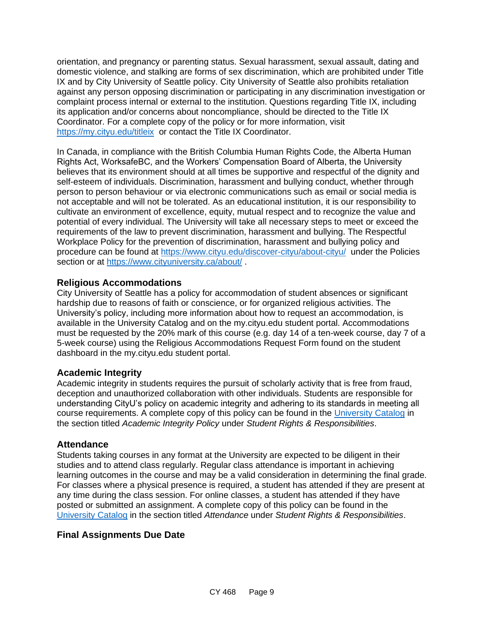orientation, and pregnancy or parenting status. Sexual harassment, sexual assault, dating and domestic violence, and stalking are forms of sex discrimination, which are prohibited under Title IX and by City University of Seattle policy. City University of Seattle also prohibits retaliation against any person opposing discrimination or participating in any discrimination investigation or complaint process internal or external to the institution. Questions regarding Title IX, including its application and/or concerns about noncompliance, should be directed to the Title IX Coordinator. For a complete copy of the policy or for more information, visit <https://my.cityu.edu/titleix> or contact the Title IX Coordinator.

In Canada, in compliance with the British Columbia Human Rights Code, the Alberta Human Rights Act, WorksafeBC, and the Workers' Compensation Board of Alberta, the University believes that its environment should at all times be supportive and respectful of the dignity and self-esteem of individuals. Discrimination, harassment and bullying conduct, whether through person to person behaviour or via electronic communications such as email or social media is not acceptable and will not be tolerated. As an educational institution, it is our responsibility to cultivate an environment of excellence, equity, mutual respect and to recognize the value and potential of every individual. The University will take all necessary steps to meet or exceed the requirements of the law to prevent discrimination, harassment and bullying. The Respectful Workplace Policy for the prevention of discrimination, harassment and bullying policy and procedure can be found at<https://www.cityu.edu/discover-cityu/about-cityu/> under the Policies section or at<https://www.cityuniversity.ca/about/>.

#### **Religious Accommodations**

City University of Seattle has a policy for accommodation of student absences or significant hardship due to reasons of faith or conscience, or for organized religious activities. The University's policy, including more information about how to request an accommodation, is available in the University Catalog and on the my.cityu.edu student portal. Accommodations must be requested by the 20% mark of this course (e.g. day 14 of a ten-week course, day 7 of a 5-week course) using the Religious Accommodations Request Form found on the student dashboard in the my.cityu.edu student portal.

#### **Academic Integrity**

Academic integrity in students requires the pursuit of scholarly activity that is free from fraud, deception and unauthorized collaboration with other individuals. Students are responsible for understanding CityU's policy on academic integrity and adhering to its standards in meeting all course requirements. A complete copy of this policy can be found in the [University Catalog](http://www.cityu.edu/catalog/) in the section titled *Academic Integrity Policy* under *Student Rights & Responsibilities*.

#### **Attendance**

Students taking courses in any format at the University are expected to be diligent in their studies and to attend class regularly. Regular class attendance is important in achieving learning outcomes in the course and may be a valid consideration in determining the final grade. For classes where a physical presence is required, a student has attended if they are present at any time during the class session. For online classes, a student has attended if they have posted or submitted an assignment. A complete copy of this policy can be found in the [University Catalog](http://www.cityu.edu/catalog/) in the section titled *Attendance* under *Student Rights & Responsibilities*.

#### **Final Assignments Due Date**